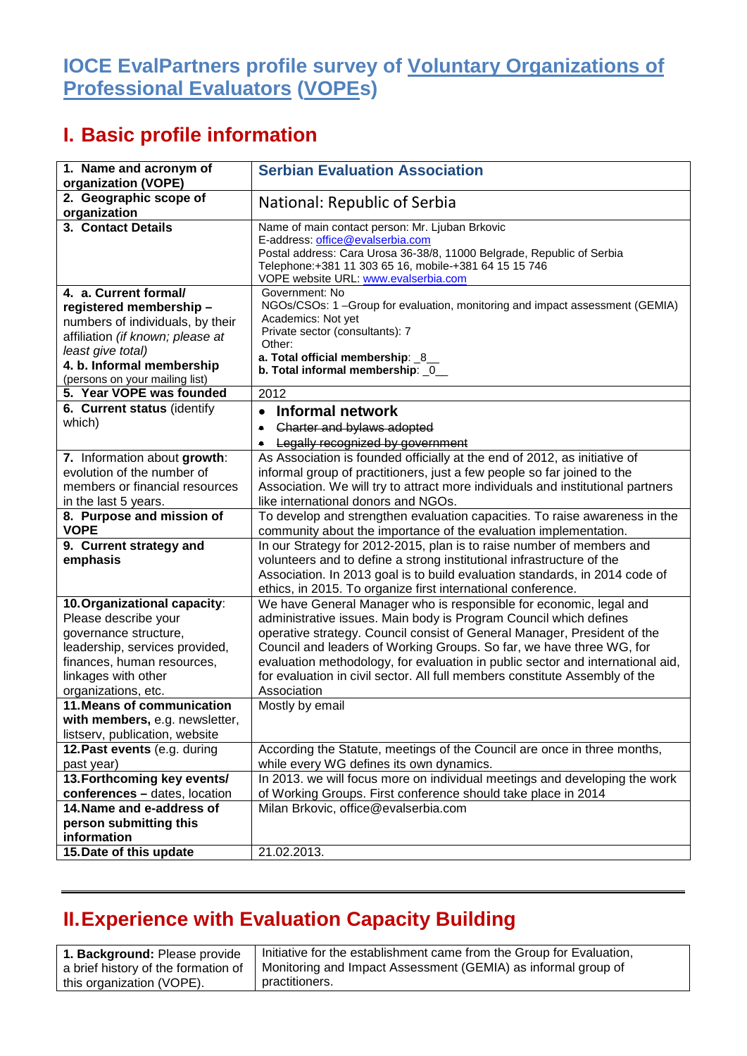## **IOCE EvalPartners profile survey of Voluntary Organizations of Professional Evaluators (VOPEs)**

## **I. Basic profile information**

| 1. Name and acronym of<br>organization (VOPE)                                                                                                                                                               | <b>Serbian Evaluation Association</b>                                                                                                                                                                                                                                                                                                                                                                                                                                       |
|-------------------------------------------------------------------------------------------------------------------------------------------------------------------------------------------------------------|-----------------------------------------------------------------------------------------------------------------------------------------------------------------------------------------------------------------------------------------------------------------------------------------------------------------------------------------------------------------------------------------------------------------------------------------------------------------------------|
| 2. Geographic scope of<br>organization                                                                                                                                                                      | National: Republic of Serbia                                                                                                                                                                                                                                                                                                                                                                                                                                                |
| 3. Contact Details                                                                                                                                                                                          | Name of main contact person: Mr. Ljuban Brkovic<br>E-address: office@evalserbia.com<br>Postal address: Cara Urosa 36-38/8, 11000 Belgrade, Republic of Serbia<br>Telephone: +381 11 303 65 16, mobile-+381 64 15 15 746<br>VOPE website URL: www.evalserbia.com                                                                                                                                                                                                             |
| 4. a. Current formal/<br>registered membership-<br>numbers of individuals, by their<br>affiliation (if known; please at<br>least give total)<br>4. b. Informal membership<br>(persons on your mailing list) | Government: No<br>NGOs/CSOs: 1 -Group for evaluation, monitoring and impact assessment (GEMIA)<br>Academics: Not yet<br>Private sector (consultants): 7<br>Other:<br>a. Total official membership: 8_<br>b. Total informal membership: 0                                                                                                                                                                                                                                    |
| 5. Year VOPE was founded                                                                                                                                                                                    | 2012                                                                                                                                                                                                                                                                                                                                                                                                                                                                        |
| 6. Current status (identify<br>which)                                                                                                                                                                       | <b>Informal network</b><br>$\bullet$<br>Charter and bylaws adopted<br>$\bullet$                                                                                                                                                                                                                                                                                                                                                                                             |
|                                                                                                                                                                                                             | Legally recognized by government<br>۰                                                                                                                                                                                                                                                                                                                                                                                                                                       |
| 7. Information about growth:<br>evolution of the number of<br>members or financial resources<br>in the last 5 years.                                                                                        | As Association is founded officially at the end of 2012, as initiative of<br>informal group of practitioners, just a few people so far joined to the<br>Association. We will try to attract more individuals and institutional partners<br>like international donors and NGOs.                                                                                                                                                                                              |
| 8. Purpose and mission of<br><b>VOPE</b>                                                                                                                                                                    | To develop and strengthen evaluation capacities. To raise awareness in the<br>community about the importance of the evaluation implementation.                                                                                                                                                                                                                                                                                                                              |
| 9. Current strategy and                                                                                                                                                                                     | In our Strategy for 2012-2015, plan is to raise number of members and                                                                                                                                                                                                                                                                                                                                                                                                       |
| emphasis                                                                                                                                                                                                    | volunteers and to define a strong institutional infrastructure of the<br>Association. In 2013 goal is to build evaluation standards, in 2014 code of<br>ethics, in 2015. To organize first international conference.                                                                                                                                                                                                                                                        |
| 10. Organizational capacity:<br>Please describe your<br>governance structure,<br>leadership, services provided,<br>finances, human resources,<br>linkages with other<br>organizations, etc.                 | We have General Manager who is responsible for economic, legal and<br>administrative issues. Main body is Program Council which defines<br>operative strategy. Council consist of General Manager, President of the<br>Council and leaders of Working Groups. So far, we have three WG, for<br>evaluation methodology, for evaluation in public sector and international aid,<br>for evaluation in civil sector. All full members constitute Assembly of the<br>Association |
| 11. Means of communication<br>with members, e.g. newsletter,<br>listserv, publication, website                                                                                                              | Mostly by email                                                                                                                                                                                                                                                                                                                                                                                                                                                             |
| 12. Past events (e.g. during<br>past year)                                                                                                                                                                  | According the Statute, meetings of the Council are once in three months,<br>while every WG defines its own dynamics.                                                                                                                                                                                                                                                                                                                                                        |
| 13. Forthcoming key events/                                                                                                                                                                                 | In 2013. we will focus more on individual meetings and developing the work                                                                                                                                                                                                                                                                                                                                                                                                  |
| conferences - dates, location<br>14. Name and e-address of<br>person submitting this<br>information<br>15. Date of this update                                                                              | of Working Groups. First conference should take place in 2014<br>Milan Brkovic, office@evalserbia.com<br>21.02.2013.                                                                                                                                                                                                                                                                                                                                                        |

## **II.Experience with Evaluation Capacity Building**

**1. Background:** Please provide a brief history of the formation of this organization (VOPE).

Initiative for the establishment came from the Group for Evaluation, Monitoring and Impact Assessment (GEMIA) as informal group of practitioners.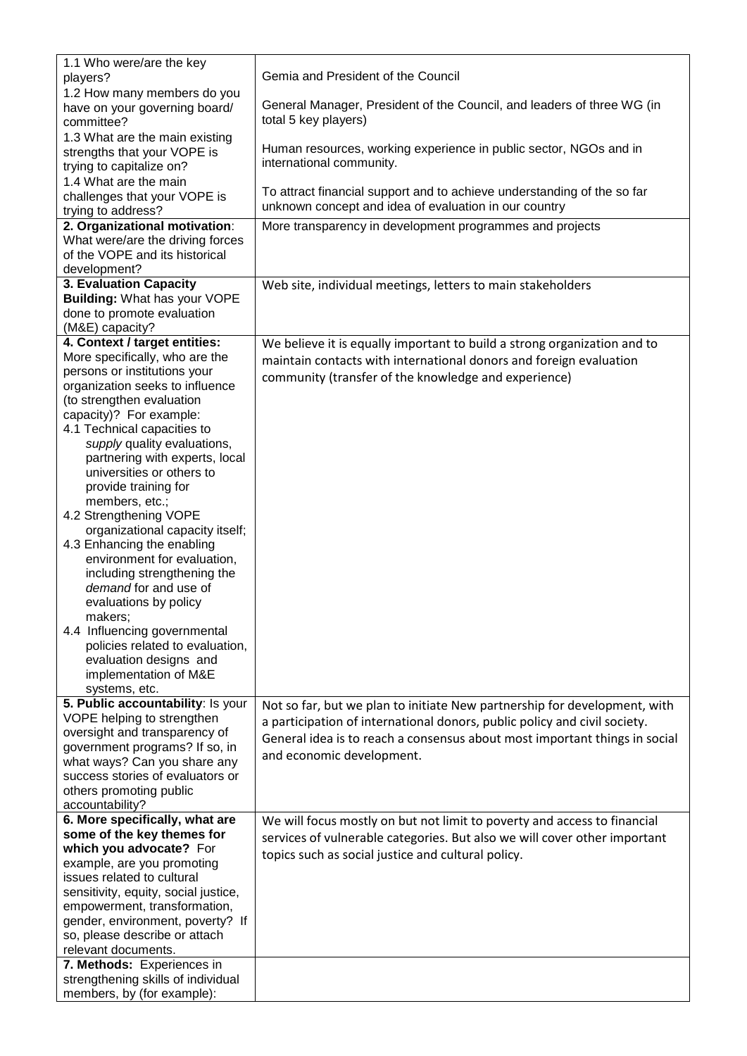| 1.1 Who were/are the key<br>players?                                                                                                                                                                                                                                                                                                                                                                                                                                                                                                                                                                                                                                         | Gemia and President of the Council                                                                                                                                                                                                                                |
|------------------------------------------------------------------------------------------------------------------------------------------------------------------------------------------------------------------------------------------------------------------------------------------------------------------------------------------------------------------------------------------------------------------------------------------------------------------------------------------------------------------------------------------------------------------------------------------------------------------------------------------------------------------------------|-------------------------------------------------------------------------------------------------------------------------------------------------------------------------------------------------------------------------------------------------------------------|
| 1.2 How many members do you<br>have on your governing board/<br>committee?                                                                                                                                                                                                                                                                                                                                                                                                                                                                                                                                                                                                   | General Manager, President of the Council, and leaders of three WG (in<br>total 5 key players)                                                                                                                                                                    |
| 1.3 What are the main existing<br>strengths that your VOPE is<br>trying to capitalize on?                                                                                                                                                                                                                                                                                                                                                                                                                                                                                                                                                                                    | Human resources, working experience in public sector, NGOs and in<br>international community.                                                                                                                                                                     |
| 1.4 What are the main<br>challenges that your VOPE is<br>trying to address?                                                                                                                                                                                                                                                                                                                                                                                                                                                                                                                                                                                                  | To attract financial support and to achieve understanding of the so far<br>unknown concept and idea of evaluation in our country                                                                                                                                  |
| 2. Organizational motivation:                                                                                                                                                                                                                                                                                                                                                                                                                                                                                                                                                                                                                                                | More transparency in development programmes and projects                                                                                                                                                                                                          |
| What were/are the driving forces<br>of the VOPE and its historical<br>development?                                                                                                                                                                                                                                                                                                                                                                                                                                                                                                                                                                                           |                                                                                                                                                                                                                                                                   |
| 3. Evaluation Capacity                                                                                                                                                                                                                                                                                                                                                                                                                                                                                                                                                                                                                                                       | Web site, individual meetings, letters to main stakeholders                                                                                                                                                                                                       |
| Building: What has your VOPE<br>done to promote evaluation<br>(M&E) capacity?                                                                                                                                                                                                                                                                                                                                                                                                                                                                                                                                                                                                |                                                                                                                                                                                                                                                                   |
| 4. Context / target entities:                                                                                                                                                                                                                                                                                                                                                                                                                                                                                                                                                                                                                                                | We believe it is equally important to build a strong organization and to                                                                                                                                                                                          |
| More specifically, who are the<br>persons or institutions your<br>organization seeks to influence<br>(to strengthen evaluation<br>capacity)? For example:<br>4.1 Technical capacities to<br>supply quality evaluations,<br>partnering with experts, local<br>universities or others to<br>provide training for<br>members, etc.;<br>4.2 Strengthening VOPE<br>organizational capacity itself;<br>4.3 Enhancing the enabling<br>environment for evaluation,<br>including strengthening the<br>demand for and use of<br>evaluations by policy<br>makers;<br>4.4 Influencing governmental<br>policies related to evaluation,<br>evaluation designs and<br>implementation of M&E | maintain contacts with international donors and foreign evaluation<br>community (transfer of the knowledge and experience)                                                                                                                                        |
| systems, etc.                                                                                                                                                                                                                                                                                                                                                                                                                                                                                                                                                                                                                                                                |                                                                                                                                                                                                                                                                   |
| 5. Public accountability: Is your<br>VOPE helping to strengthen<br>oversight and transparency of<br>government programs? If so, in<br>what ways? Can you share any<br>success stories of evaluators or<br>others promoting public<br>accountability?                                                                                                                                                                                                                                                                                                                                                                                                                         | Not so far, but we plan to initiate New partnership for development, with<br>a participation of international donors, public policy and civil society.<br>General idea is to reach a consensus about most important things in social<br>and economic development. |
| 6. More specifically, what are                                                                                                                                                                                                                                                                                                                                                                                                                                                                                                                                                                                                                                               | We will focus mostly on but not limit to poverty and access to financial                                                                                                                                                                                          |
| some of the key themes for                                                                                                                                                                                                                                                                                                                                                                                                                                                                                                                                                                                                                                                   | services of vulnerable categories. But also we will cover other important                                                                                                                                                                                         |
| which you advocate? For                                                                                                                                                                                                                                                                                                                                                                                                                                                                                                                                                                                                                                                      | topics such as social justice and cultural policy.                                                                                                                                                                                                                |
| example, are you promoting                                                                                                                                                                                                                                                                                                                                                                                                                                                                                                                                                                                                                                                   |                                                                                                                                                                                                                                                                   |
| issues related to cultural                                                                                                                                                                                                                                                                                                                                                                                                                                                                                                                                                                                                                                                   |                                                                                                                                                                                                                                                                   |
| sensitivity, equity, social justice,                                                                                                                                                                                                                                                                                                                                                                                                                                                                                                                                                                                                                                         |                                                                                                                                                                                                                                                                   |
| empowerment, transformation,                                                                                                                                                                                                                                                                                                                                                                                                                                                                                                                                                                                                                                                 |                                                                                                                                                                                                                                                                   |
| gender, environment, poverty? If                                                                                                                                                                                                                                                                                                                                                                                                                                                                                                                                                                                                                                             |                                                                                                                                                                                                                                                                   |
| so, please describe or attach<br>relevant documents.                                                                                                                                                                                                                                                                                                                                                                                                                                                                                                                                                                                                                         |                                                                                                                                                                                                                                                                   |
| 7. Methods: Experiences in                                                                                                                                                                                                                                                                                                                                                                                                                                                                                                                                                                                                                                                   |                                                                                                                                                                                                                                                                   |
| strengthening skills of individual                                                                                                                                                                                                                                                                                                                                                                                                                                                                                                                                                                                                                                           |                                                                                                                                                                                                                                                                   |
| members, by (for example):                                                                                                                                                                                                                                                                                                                                                                                                                                                                                                                                                                                                                                                   |                                                                                                                                                                                                                                                                   |